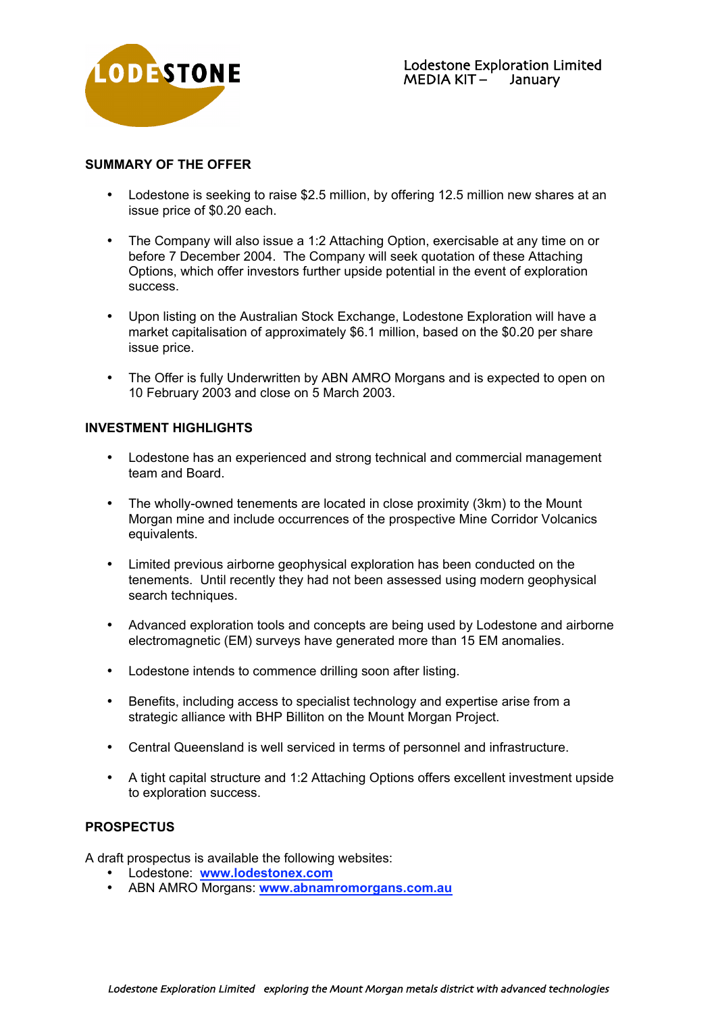

## **SUMMARY OF THE OFFER**

Lodestone is seeking to raise \$2.5 million, by offering 12.5 million new shares at an issue price of \$0.20 each.

The Company will also issue a 1:2 Attaching Option, exercisable at any time on or before 7 December 2004. The Company will seek quotation of these Attaching Options, which offer investors further upside potential in the event of exploration success.

Upon listing on the Australian Stock Exchange, Lodestone Exploration will have a market capitalisation of approximately \$6.1 million, based on the \$0.20 per share issue price.

The Offer is fully Underwritten by ABN AMRO Morgans and is expected to open on 10 February 2003 and close on 5 March 2003.

## **INVESTMENT HIGHLIGHTS**

Lodestone has an experienced and strong technical and commercial management team and Board.

The wholly-owned tenements are located in close proximity (3km) to the Mount Morgan mine and include occurrences of the prospective Mine Corridor Volcanics equivalents.

Limited previous airborne geophysical exploration has been conducted on the tenements. Until recently they had not been assessed using modern geophysical search techniques.

Advanced exploration tools and concepts are being used by Lodestone and airborne electromagnetic (EM) surveys have generated more than 15 EM anomalies.

Lodestone intends to commence drilling soon after listing.

Benefits, including access to specialist technology and expertise arise from a strategic alliance with BHP Billiton on the Mount Morgan Project.

Central Queensland is well serviced in terms of personnel and infrastructure.

A tight capital structure and 1:2 Attaching Options offers excellent investment upside to exploration success.

## **PROSPECTUS**

A draft prospectus is available the following websites: Lodestone: **www.lodestonex.com**

ABN AMRO Morgans: **www.abnamromorgans.com.au**